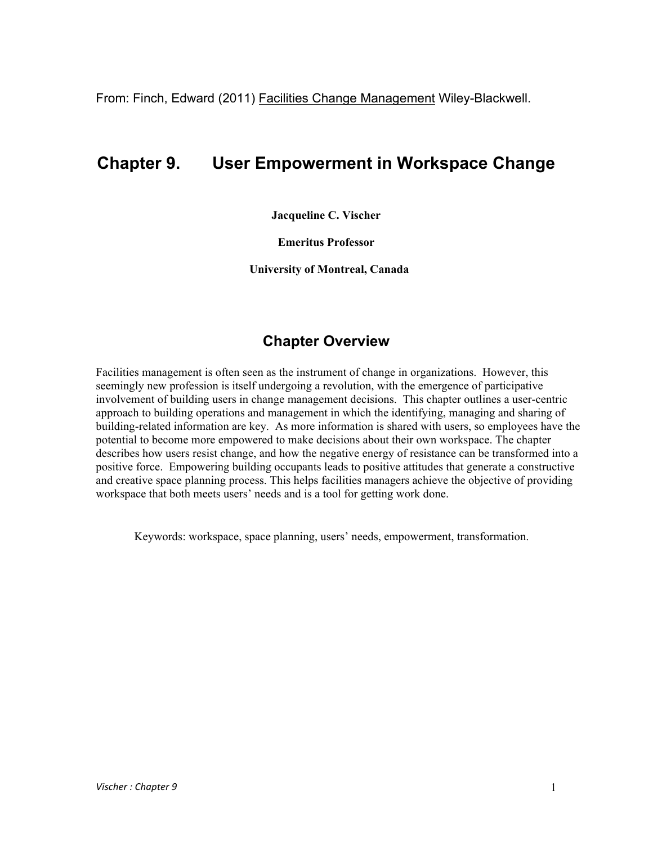# **Chapter 9. User Empowerment in Workspace Change**

**Jacqueline C. Vischer**

**Emeritus Professor**

**University of Montreal, Canada**

# **Chapter Overview**

Facilities management is often seen as the instrument of change in organizations. However, this seemingly new profession is itself undergoing a revolution, with the emergence of participative involvement of building users in change management decisions. This chapter outlines a user-centric approach to building operations and management in which the identifying, managing and sharing of building-related information are key. As more information is shared with users, so employees have the potential to become more empowered to make decisions about their own workspace. The chapter describes how users resist change, and how the negative energy of resistance can be transformed into a positive force. Empowering building occupants leads to positive attitudes that generate a constructive and creative space planning process. This helps facilities managers achieve the objective of providing workspace that both meets users' needs and is a tool for getting work done.

Keywords: workspace, space planning, users' needs, empowerment, transformation.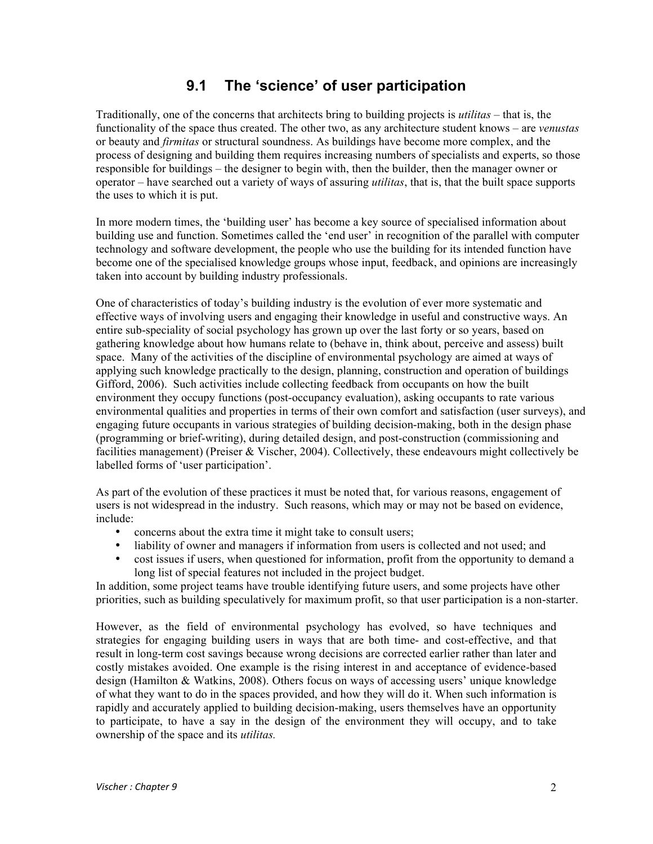# **9.1 The 'science' of user participation**

Traditionally, one of the concerns that architects bring to building projects is *utilitas* – that is, the functionality of the space thus created. The other two, as any architecture student knows – are *venustas* or beauty and *firmitas* or structural soundness. As buildings have become more complex, and the process of designing and building them requires increasing numbers of specialists and experts, so those responsible for buildings – the designer to begin with, then the builder, then the manager owner or operator – have searched out a variety of ways of assuring *utilitas*, that is, that the built space supports the uses to which it is put.

In more modern times, the 'building user' has become a key source of specialised information about building use and function. Sometimes called the 'end user' in recognition of the parallel with computer technology and software development, the people who use the building for its intended function have become one of the specialised knowledge groups whose input, feedback, and opinions are increasingly taken into account by building industry professionals.

One of characteristics of today's building industry is the evolution of ever more systematic and effective ways of involving users and engaging their knowledge in useful and constructive ways. An entire sub-speciality of social psychology has grown up over the last forty or so years, based on gathering knowledge about how humans relate to (behave in, think about, perceive and assess) built space. Many of the activities of the discipline of environmental psychology are aimed at ways of applying such knowledge practically to the design, planning, construction and operation of buildings Gifford, 2006). Such activities include collecting feedback from occupants on how the built environment they occupy functions (post-occupancy evaluation), asking occupants to rate various environmental qualities and properties in terms of their own comfort and satisfaction (user surveys), and engaging future occupants in various strategies of building decision-making, both in the design phase (programming or brief-writing), during detailed design, and post-construction (commissioning and facilities management) (Preiser & Vischer, 2004). Collectively, these endeavours might collectively be labelled forms of 'user participation'.

As part of the evolution of these practices it must be noted that, for various reasons, engagement of users is not widespread in the industry. Such reasons, which may or may not be based on evidence, include:

- concerns about the extra time it might take to consult users;
- liability of owner and managers if information from users is collected and not used; and cost issues if users, when questioned for information, profit from the opportunity to dem
- cost issues if users, when questioned for information, profit from the opportunity to demand a long list of special features not included in the project budget.

In addition, some project teams have trouble identifying future users, and some projects have other priorities, such as building speculatively for maximum profit, so that user participation is a non-starter.

However, as the field of environmental psychology has evolved, so have techniques and strategies for engaging building users in ways that are both time- and cost-effective, and that result in long-term cost savings because wrong decisions are corrected earlier rather than later and costly mistakes avoided. One example is the rising interest in and acceptance of evidence-based design (Hamilton & Watkins, 2008). Others focus on ways of accessing users' unique knowledge of what they want to do in the spaces provided, and how they will do it. When such information is rapidly and accurately applied to building decision-making, users themselves have an opportunity to participate, to have a say in the design of the environment they will occupy, and to take ownership of the space and its *utilitas.*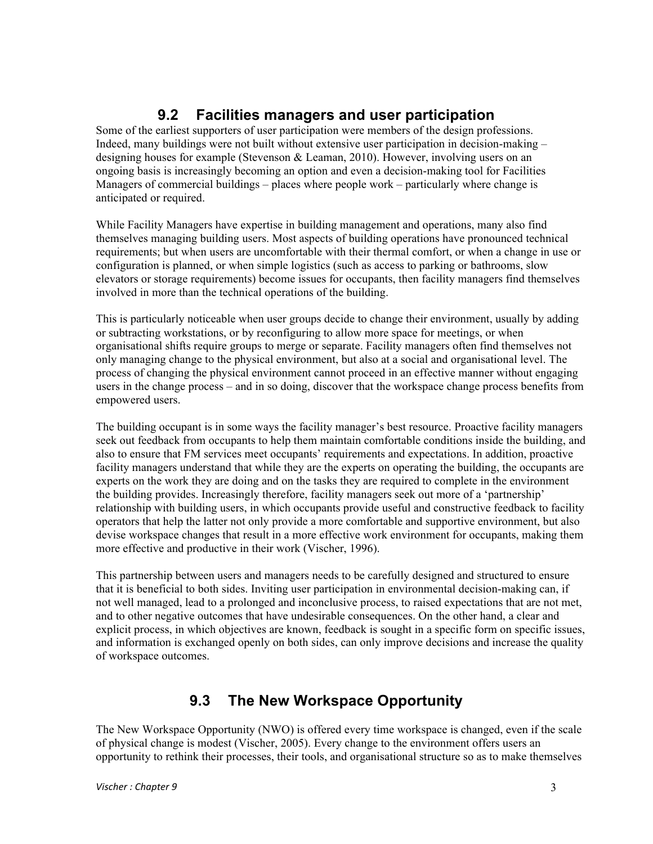## **9.2 Facilities managers and user participation**

Some of the earliest supporters of user participation were members of the design professions. Indeed, many buildings were not built without extensive user participation in decision-making – designing houses for example (Stevenson & Leaman, 2010). However, involving users on an ongoing basis is increasingly becoming an option and even a decision-making tool for Facilities Managers of commercial buildings – places where people work – particularly where change is anticipated or required.

While Facility Managers have expertise in building management and operations, many also find themselves managing building users. Most aspects of building operations have pronounced technical requirements; but when users are uncomfortable with their thermal comfort, or when a change in use or configuration is planned, or when simple logistics (such as access to parking or bathrooms, slow elevators or storage requirements) become issues for occupants, then facility managers find themselves involved in more than the technical operations of the building.

This is particularly noticeable when user groups decide to change their environment, usually by adding or subtracting workstations, or by reconfiguring to allow more space for meetings, or when organisational shifts require groups to merge or separate. Facility managers often find themselves not only managing change to the physical environment, but also at a social and organisational level. The process of changing the physical environment cannot proceed in an effective manner without engaging users in the change process – and in so doing, discover that the workspace change process benefits from empowered users.

The building occupant is in some ways the facility manager's best resource. Proactive facility managers seek out feedback from occupants to help them maintain comfortable conditions inside the building, and also to ensure that FM services meet occupants' requirements and expectations. In addition, proactive facility managers understand that while they are the experts on operating the building, the occupants are experts on the work they are doing and on the tasks they are required to complete in the environment the building provides. Increasingly therefore, facility managers seek out more of a 'partnership' relationship with building users, in which occupants provide useful and constructive feedback to facility operators that help the latter not only provide a more comfortable and supportive environment, but also devise workspace changes that result in a more effective work environment for occupants, making them more effective and productive in their work (Vischer, 1996).

This partnership between users and managers needs to be carefully designed and structured to ensure that it is beneficial to both sides. Inviting user participation in environmental decision-making can, if not well managed, lead to a prolonged and inconclusive process, to raised expectations that are not met, and to other negative outcomes that have undesirable consequences. On the other hand, a clear and explicit process, in which objectives are known, feedback is sought in a specific form on specific issues, and information is exchanged openly on both sides, can only improve decisions and increase the quality of workspace outcomes.

## **9.3 The New Workspace Opportunity**

The New Workspace Opportunity (NWO) is offered every time workspace is changed, even if the scale of physical change is modest (Vischer, 2005). Every change to the environment offers users an opportunity to rethink their processes, their tools, and organisational structure so as to make themselves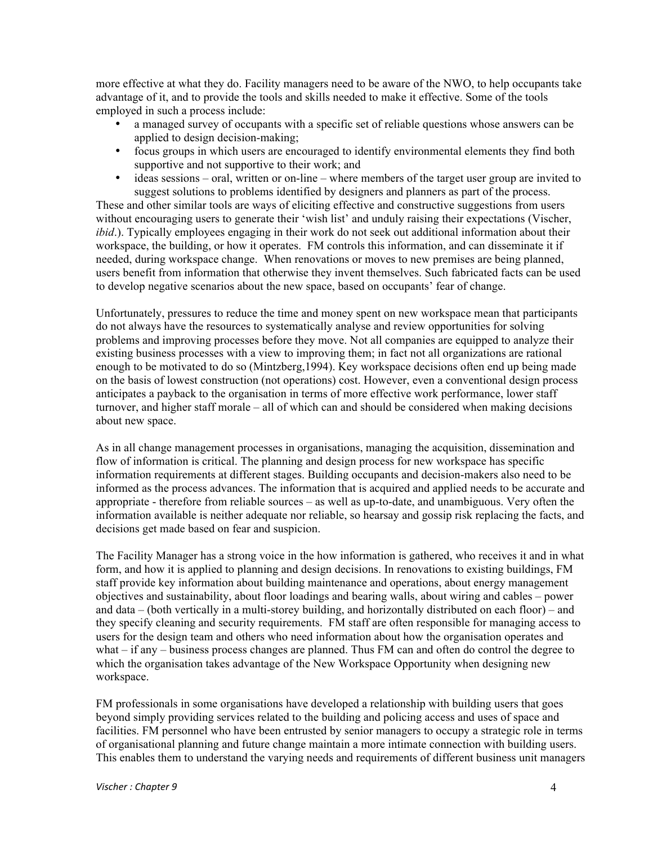more effective at what they do. Facility managers need to be aware of the NWO, to help occupants take advantage of it, and to provide the tools and skills needed to make it effective. Some of the tools employed in such a process include:

- a managed survey of occupants with a specific set of reliable questions whose answers can be applied to design decision-making;
- focus groups in which users are encouraged to identify environmental elements they find both supportive and not supportive to their work; and
- ideas sessions oral, written or on-line where members of the target user group are invited to suggest solutions to problems identified by designers and planners as part of the process.

These and other similar tools are ways of eliciting effective and constructive suggestions from users without encouraging users to generate their 'wish list' and unduly raising their expectations (Vischer, *ibid*.). Typically employees engaging in their work do not seek out additional information about their workspace, the building, or how it operates. FM controls this information, and can disseminate it if needed, during workspace change. When renovations or moves to new premises are being planned, users benefit from information that otherwise they invent themselves. Such fabricated facts can be used to develop negative scenarios about the new space, based on occupants' fear of change.

Unfortunately, pressures to reduce the time and money spent on new workspace mean that participants do not always have the resources to systematically analyse and review opportunities for solving problems and improving processes before they move. Not all companies are equipped to analyze their existing business processes with a view to improving them; in fact not all organizations are rational enough to be motivated to do so (Mintzberg,1994). Key workspace decisions often end up being made on the basis of lowest construction (not operations) cost. However, even a conventional design process anticipates a payback to the organisation in terms of more effective work performance, lower staff turnover, and higher staff morale – all of which can and should be considered when making decisions about new space.

As in all change management processes in organisations, managing the acquisition, dissemination and flow of information is critical. The planning and design process for new workspace has specific information requirements at different stages. Building occupants and decision-makers also need to be informed as the process advances. The information that is acquired and applied needs to be accurate and appropriate - therefore from reliable sources – as well as up-to-date, and unambiguous. Very often the information available is neither adequate nor reliable, so hearsay and gossip risk replacing the facts, and decisions get made based on fear and suspicion.

The Facility Manager has a strong voice in the how information is gathered, who receives it and in what form, and how it is applied to planning and design decisions. In renovations to existing buildings, FM staff provide key information about building maintenance and operations, about energy management objectives and sustainability, about floor loadings and bearing walls, about wiring and cables – power and data – (both vertically in a multi-storey building, and horizontally distributed on each floor) – and they specify cleaning and security requirements. FM staff are often responsible for managing access to users for the design team and others who need information about how the organisation operates and what – if any – business process changes are planned. Thus FM can and often do control the degree to which the organisation takes advantage of the New Workspace Opportunity when designing new workspace.

FM professionals in some organisations have developed a relationship with building users that goes beyond simply providing services related to the building and policing access and uses of space and facilities. FM personnel who have been entrusted by senior managers to occupy a strategic role in terms of organisational planning and future change maintain a more intimate connection with building users. This enables them to understand the varying needs and requirements of different business unit managers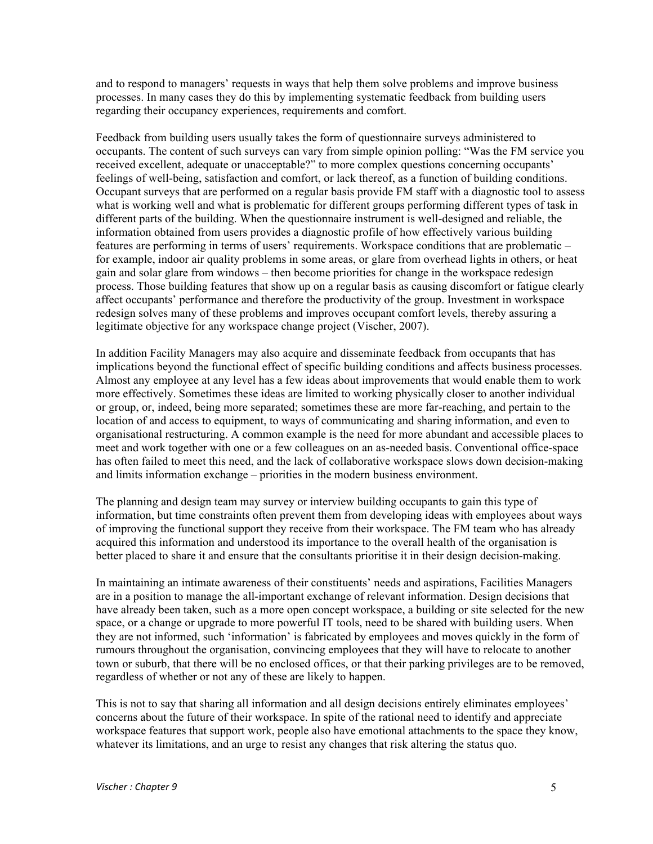and to respond to managers' requests in ways that help them solve problems and improve business processes. In many cases they do this by implementing systematic feedback from building users regarding their occupancy experiences, requirements and comfort.

Feedback from building users usually takes the form of questionnaire surveys administered to occupants. The content of such surveys can vary from simple opinion polling: "Was the FM service you received excellent, adequate or unacceptable?" to more complex questions concerning occupants' feelings of well-being, satisfaction and comfort, or lack thereof, as a function of building conditions. Occupant surveys that are performed on a regular basis provide FM staff with a diagnostic tool to assess what is working well and what is problematic for different groups performing different types of task in different parts of the building. When the questionnaire instrument is well-designed and reliable, the information obtained from users provides a diagnostic profile of how effectively various building features are performing in terms of users' requirements. Workspace conditions that are problematic – for example, indoor air quality problems in some areas, or glare from overhead lights in others, or heat gain and solar glare from windows – then become priorities for change in the workspace redesign process. Those building features that show up on a regular basis as causing discomfort or fatigue clearly affect occupants' performance and therefore the productivity of the group. Investment in workspace redesign solves many of these problems and improves occupant comfort levels, thereby assuring a legitimate objective for any workspace change project (Vischer, 2007).

In addition Facility Managers may also acquire and disseminate feedback from occupants that has implications beyond the functional effect of specific building conditions and affects business processes. Almost any employee at any level has a few ideas about improvements that would enable them to work more effectively. Sometimes these ideas are limited to working physically closer to another individual or group, or, indeed, being more separated; sometimes these are more far-reaching, and pertain to the location of and access to equipment, to ways of communicating and sharing information, and even to organisational restructuring. A common example is the need for more abundant and accessible places to meet and work together with one or a few colleagues on an as-needed basis. Conventional office-space has often failed to meet this need, and the lack of collaborative workspace slows down decision-making and limits information exchange – priorities in the modern business environment.

The planning and design team may survey or interview building occupants to gain this type of information, but time constraints often prevent them from developing ideas with employees about ways of improving the functional support they receive from their workspace. The FM team who has already acquired this information and understood its importance to the overall health of the organisation is better placed to share it and ensure that the consultants prioritise it in their design decision-making.

In maintaining an intimate awareness of their constituents' needs and aspirations, Facilities Managers are in a position to manage the all-important exchange of relevant information. Design decisions that have already been taken, such as a more open concept workspace, a building or site selected for the new space, or a change or upgrade to more powerful IT tools, need to be shared with building users. When they are not informed, such 'information' is fabricated by employees and moves quickly in the form of rumours throughout the organisation, convincing employees that they will have to relocate to another town or suburb, that there will be no enclosed offices, or that their parking privileges are to be removed, regardless of whether or not any of these are likely to happen.

This is not to say that sharing all information and all design decisions entirely eliminates employees' concerns about the future of their workspace. In spite of the rational need to identify and appreciate workspace features that support work, people also have emotional attachments to the space they know, whatever its limitations, and an urge to resist any changes that risk altering the status quo.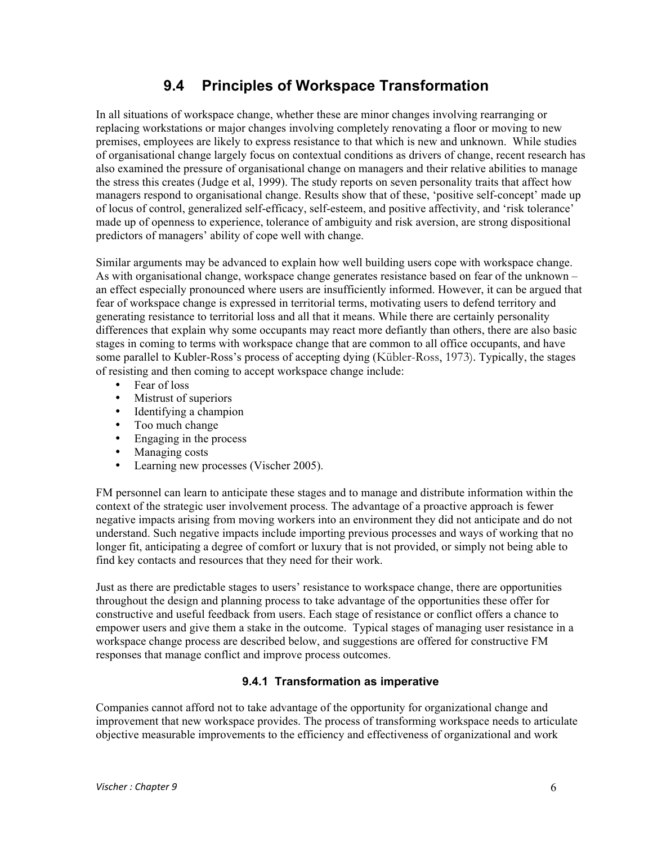# **9.4 Principles of Workspace Transformation**

In all situations of workspace change, whether these are minor changes involving rearranging or replacing workstations or major changes involving completely renovating a floor or moving to new premises, employees are likely to express resistance to that which is new and unknown. While studies of organisational change largely focus on contextual conditions as drivers of change, recent research has also examined the pressure of organisational change on managers and their relative abilities to manage the stress this creates (Judge et al, 1999). The study reports on seven personality traits that affect how managers respond to organisational change. Results show that of these, 'positive self-concept' made up of locus of control, generalized self-efficacy, self-esteem, and positive affectivity, and 'risk tolerance' made up of openness to experience, tolerance of ambiguity and risk aversion, are strong dispositional predictors of managers' ability of cope well with change.

Similar arguments may be advanced to explain how well building users cope with workspace change. As with organisational change, workspace change generates resistance based on fear of the unknown – an effect especially pronounced where users are insufficiently informed. However, it can be argued that fear of workspace change is expressed in territorial terms, motivating users to defend territory and generating resistance to territorial loss and all that it means. While there are certainly personality differences that explain why some occupants may react more defiantly than others, there are also basic stages in coming to terms with workspace change that are common to all office occupants, and have some parallel to Kubler-Ross's process of accepting dying (Kübler-Ross, 1973). Typically, the stages of resisting and then coming to accept workspace change include:

- Fear of loss
- Mistrust of superiors
- Identifying a champion
- Too much change
- Engaging in the process
- Managing costs
- Learning new processes (Vischer 2005).

FM personnel can learn to anticipate these stages and to manage and distribute information within the context of the strategic user involvement process. The advantage of a proactive approach is fewer negative impacts arising from moving workers into an environment they did not anticipate and do not understand. Such negative impacts include importing previous processes and ways of working that no longer fit, anticipating a degree of comfort or luxury that is not provided, or simply not being able to find key contacts and resources that they need for their work.

Just as there are predictable stages to users' resistance to workspace change, there are opportunities throughout the design and planning process to take advantage of the opportunities these offer for constructive and useful feedback from users. Each stage of resistance or conflict offers a chance to empower users and give them a stake in the outcome. Typical stages of managing user resistance in a workspace change process are described below, and suggestions are offered for constructive FM responses that manage conflict and improve process outcomes.

### **9.4.1 Transformation as imperative**

Companies cannot afford not to take advantage of the opportunity for organizational change and improvement that new workspace provides. The process of transforming workspace needs to articulate objective measurable improvements to the efficiency and effectiveness of organizational and work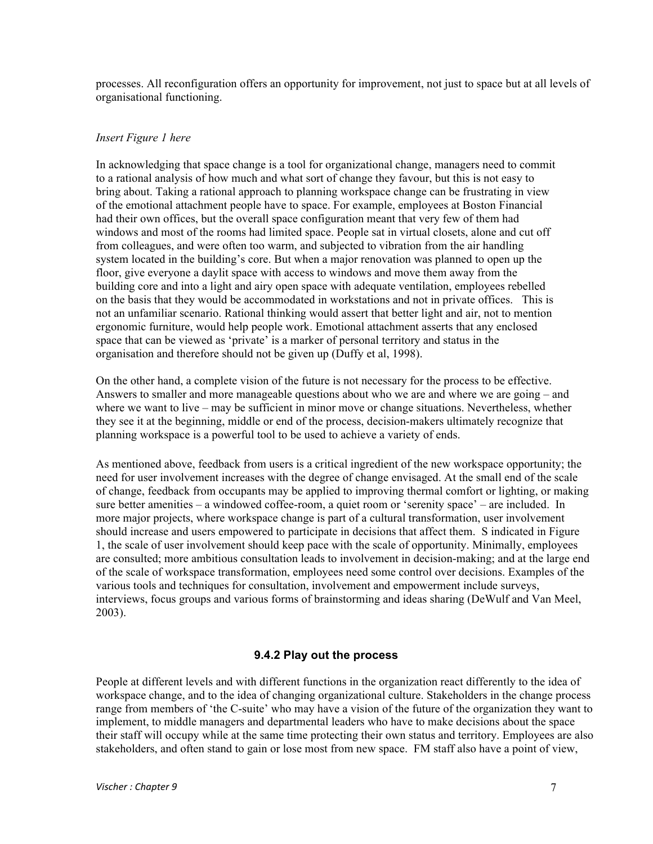processes. All reconfiguration offers an opportunity for improvement, not just to space but at all levels of organisational functioning.

#### *Insert Figure 1 here*

In acknowledging that space change is a tool for organizational change, managers need to commit to a rational analysis of how much and what sort of change they favour, but this is not easy to bring about. Taking a rational approach to planning workspace change can be frustrating in view of the emotional attachment people have to space. For example, employees at Boston Financial had their own offices, but the overall space configuration meant that very few of them had windows and most of the rooms had limited space. People sat in virtual closets, alone and cut off from colleagues, and were often too warm, and subjected to vibration from the air handling system located in the building's core. But when a major renovation was planned to open up the floor, give everyone a daylit space with access to windows and move them away from the building core and into a light and airy open space with adequate ventilation, employees rebelled on the basis that they would be accommodated in workstations and not in private offices. This is not an unfamiliar scenario. Rational thinking would assert that better light and air, not to mention ergonomic furniture, would help people work. Emotional attachment asserts that any enclosed space that can be viewed as 'private' is a marker of personal territory and status in the organisation and therefore should not be given up (Duffy et al, 1998).

On the other hand, a complete vision of the future is not necessary for the process to be effective. Answers to smaller and more manageable questions about who we are and where we are going – and where we want to live – may be sufficient in minor move or change situations. Nevertheless, whether they see it at the beginning, middle or end of the process, decision-makers ultimately recognize that planning workspace is a powerful tool to be used to achieve a variety of ends.

As mentioned above, feedback from users is a critical ingredient of the new workspace opportunity; the need for user involvement increases with the degree of change envisaged. At the small end of the scale of change, feedback from occupants may be applied to improving thermal comfort or lighting, or making sure better amenities – a windowed coffee-room, a quiet room or 'serenity space' – are included. In more major projects, where workspace change is part of a cultural transformation, user involvement should increase and users empowered to participate in decisions that affect them. S indicated in Figure 1, the scale of user involvement should keep pace with the scale of opportunity. Minimally, employees are consulted; more ambitious consultation leads to involvement in decision-making; and at the large end of the scale of workspace transformation, employees need some control over decisions. Examples of the various tools and techniques for consultation, involvement and empowerment include surveys, interviews, focus groups and various forms of brainstorming and ideas sharing (DeWulf and Van Meel, 2003).

#### **9.4.2 Play out the process**

People at different levels and with different functions in the organization react differently to the idea of workspace change, and to the idea of changing organizational culture. Stakeholders in the change process range from members of 'the C-suite' who may have a vision of the future of the organization they want to implement, to middle managers and departmental leaders who have to make decisions about the space their staff will occupy while at the same time protecting their own status and territory. Employees are also stakeholders, and often stand to gain or lose most from new space. FM staff also have a point of view,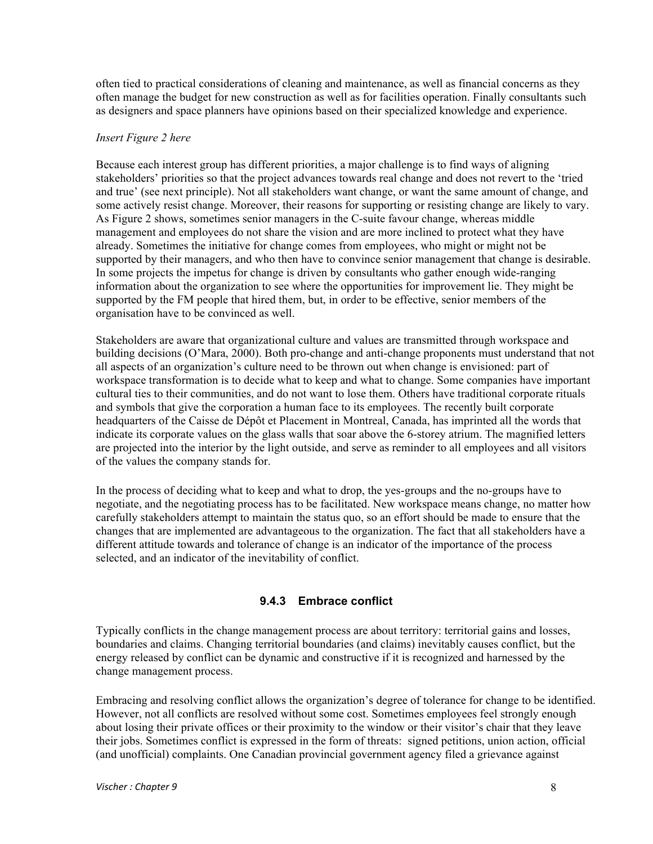often tied to practical considerations of cleaning and maintenance, as well as financial concerns as they often manage the budget for new construction as well as for facilities operation. Finally consultants such as designers and space planners have opinions based on their specialized knowledge and experience.

#### *Insert Figure 2 here*

Because each interest group has different priorities, a major challenge is to find ways of aligning stakeholders' priorities so that the project advances towards real change and does not revert to the 'tried and true' (see next principle). Not all stakeholders want change, or want the same amount of change, and some actively resist change. Moreover, their reasons for supporting or resisting change are likely to vary. As Figure 2 shows, sometimes senior managers in the C-suite favour change, whereas middle management and employees do not share the vision and are more inclined to protect what they have already. Sometimes the initiative for change comes from employees, who might or might not be supported by their managers, and who then have to convince senior management that change is desirable. In some projects the impetus for change is driven by consultants who gather enough wide-ranging information about the organization to see where the opportunities for improvement lie. They might be supported by the FM people that hired them, but, in order to be effective, senior members of the organisation have to be convinced as well.

Stakeholders are aware that organizational culture and values are transmitted through workspace and building decisions (O'Mara, 2000). Both pro-change and anti-change proponents must understand that not all aspects of an organization's culture need to be thrown out when change is envisioned: part of workspace transformation is to decide what to keep and what to change. Some companies have important cultural ties to their communities, and do not want to lose them. Others have traditional corporate rituals and symbols that give the corporation a human face to its employees. The recently built corporate headquarters of the Caisse de Dépôt et Placement in Montreal, Canada, has imprinted all the words that indicate its corporate values on the glass walls that soar above the 6-storey atrium. The magnified letters are projected into the interior by the light outside, and serve as reminder to all employees and all visitors of the values the company stands for.

In the process of deciding what to keep and what to drop, the yes-groups and the no-groups have to negotiate, and the negotiating process has to be facilitated. New workspace means change, no matter how carefully stakeholders attempt to maintain the status quo, so an effort should be made to ensure that the changes that are implemented are advantageous to the organization. The fact that all stakeholders have a different attitude towards and tolerance of change is an indicator of the importance of the process selected, and an indicator of the inevitability of conflict.

### **9.4.3 Embrace conflict**

Typically conflicts in the change management process are about territory: territorial gains and losses, boundaries and claims. Changing territorial boundaries (and claims) inevitably causes conflict, but the energy released by conflict can be dynamic and constructive if it is recognized and harnessed by the change management process.

Embracing and resolving conflict allows the organization's degree of tolerance for change to be identified. However, not all conflicts are resolved without some cost. Sometimes employees feel strongly enough about losing their private offices or their proximity to the window or their visitor's chair that they leave their jobs. Sometimes conflict is expressed in the form of threats: signed petitions, union action, official (and unofficial) complaints. One Canadian provincial government agency filed a grievance against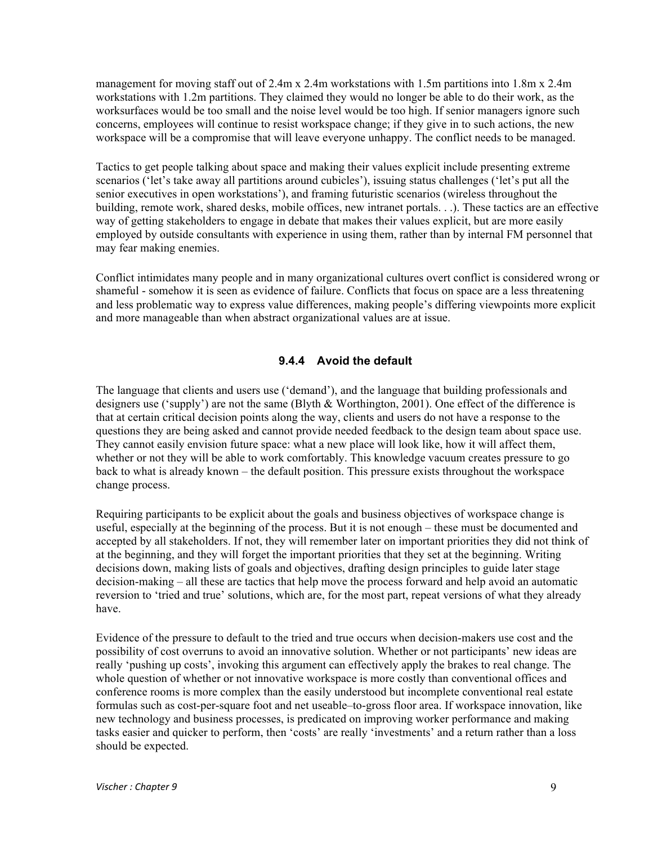management for moving staff out of 2.4m x 2.4m workstations with 1.5m partitions into 1.8m x 2.4m workstations with 1.2m partitions. They claimed they would no longer be able to do their work, as the worksurfaces would be too small and the noise level would be too high. If senior managers ignore such concerns, employees will continue to resist workspace change; if they give in to such actions, the new workspace will be a compromise that will leave everyone unhappy. The conflict needs to be managed.

Tactics to get people talking about space and making their values explicit include presenting extreme scenarios ('let's take away all partitions around cubicles'), issuing status challenges ('let's put all the senior executives in open workstations'), and framing futuristic scenarios (wireless throughout the building, remote work, shared desks, mobile offices, new intranet portals. . .). These tactics are an effective way of getting stakeholders to engage in debate that makes their values explicit, but are more easily employed by outside consultants with experience in using them, rather than by internal FM personnel that may fear making enemies.

Conflict intimidates many people and in many organizational cultures overt conflict is considered wrong or shameful - somehow it is seen as evidence of failure. Conflicts that focus on space are a less threatening and less problematic way to express value differences, making people's differing viewpoints more explicit and more manageable than when abstract organizational values are at issue.

### **9.4.4 Avoid the default**

The language that clients and users use ('demand'), and the language that building professionals and designers use ('supply') are not the same (Blyth & Worthington, 2001). One effect of the difference is that at certain critical decision points along the way, clients and users do not have a response to the questions they are being asked and cannot provide needed feedback to the design team about space use. They cannot easily envision future space: what a new place will look like, how it will affect them, whether or not they will be able to work comfortably. This knowledge vacuum creates pressure to go back to what is already known – the default position. This pressure exists throughout the workspace change process.

Requiring participants to be explicit about the goals and business objectives of workspace change is useful, especially at the beginning of the process. But it is not enough – these must be documented and accepted by all stakeholders. If not, they will remember later on important priorities they did not think of at the beginning, and they will forget the important priorities that they set at the beginning. Writing decisions down, making lists of goals and objectives, drafting design principles to guide later stage decision-making – all these are tactics that help move the process forward and help avoid an automatic reversion to 'tried and true' solutions, which are, for the most part, repeat versions of what they already have.

Evidence of the pressure to default to the tried and true occurs when decision-makers use cost and the possibility of cost overruns to avoid an innovative solution. Whether or not participants' new ideas are really 'pushing up costs', invoking this argument can effectively apply the brakes to real change. The whole question of whether or not innovative workspace is more costly than conventional offices and conference rooms is more complex than the easily understood but incomplete conventional real estate formulas such as cost-per-square foot and net useable–to-gross floor area. If workspace innovation, like new technology and business processes, is predicated on improving worker performance and making tasks easier and quicker to perform, then 'costs' are really 'investments' and a return rather than a loss should be expected.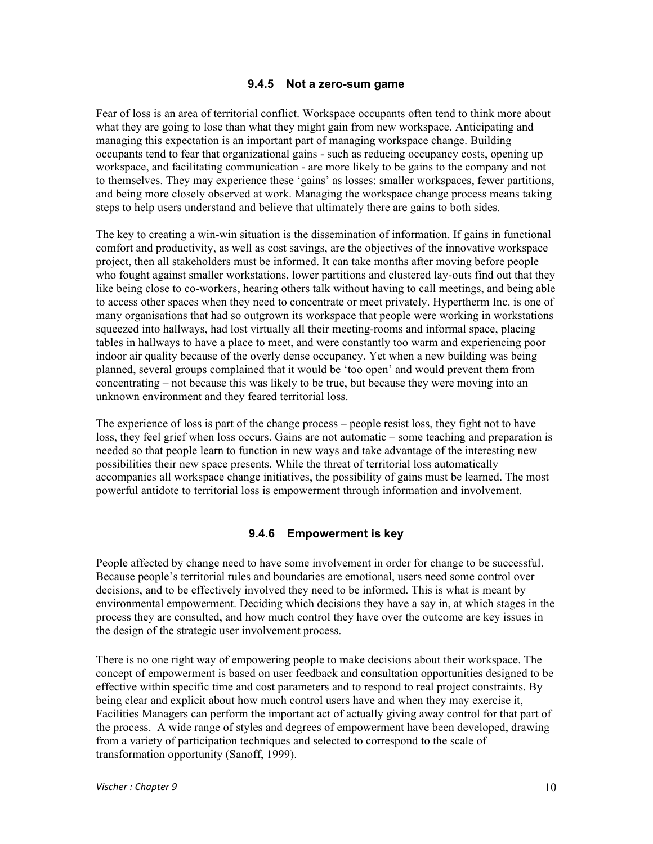#### **9.4.5 Not a zero-sum game**

Fear of loss is an area of territorial conflict. Workspace occupants often tend to think more about what they are going to lose than what they might gain from new workspace. Anticipating and managing this expectation is an important part of managing workspace change. Building occupants tend to fear that organizational gains - such as reducing occupancy costs, opening up workspace, and facilitating communication - are more likely to be gains to the company and not to themselves. They may experience these 'gains' as losses: smaller workspaces, fewer partitions, and being more closely observed at work. Managing the workspace change process means taking steps to help users understand and believe that ultimately there are gains to both sides.

The key to creating a win-win situation is the dissemination of information. If gains in functional comfort and productivity, as well as cost savings, are the objectives of the innovative workspace project, then all stakeholders must be informed. It can take months after moving before people who fought against smaller workstations, lower partitions and clustered lay-outs find out that they like being close to co-workers, hearing others talk without having to call meetings, and being able to access other spaces when they need to concentrate or meet privately. Hypertherm Inc. is one of many organisations that had so outgrown its workspace that people were working in workstations squeezed into hallways, had lost virtually all their meeting-rooms and informal space, placing tables in hallways to have a place to meet, and were constantly too warm and experiencing poor indoor air quality because of the overly dense occupancy. Yet when a new building was being planned, several groups complained that it would be 'too open' and would prevent them from concentrating – not because this was likely to be true, but because they were moving into an unknown environment and they feared territorial loss.

The experience of loss is part of the change process – people resist loss, they fight not to have loss, they feel grief when loss occurs. Gains are not automatic – some teaching and preparation is needed so that people learn to function in new ways and take advantage of the interesting new possibilities their new space presents. While the threat of territorial loss automatically accompanies all workspace change initiatives, the possibility of gains must be learned. The most powerful antidote to territorial loss is empowerment through information and involvement.

#### **9.4.6 Empowerment is key**

People affected by change need to have some involvement in order for change to be successful. Because people's territorial rules and boundaries are emotional, users need some control over decisions, and to be effectively involved they need to be informed. This is what is meant by environmental empowerment. Deciding which decisions they have a say in, at which stages in the process they are consulted, and how much control they have over the outcome are key issues in the design of the strategic user involvement process.

There is no one right way of empowering people to make decisions about their workspace. The concept of empowerment is based on user feedback and consultation opportunities designed to be effective within specific time and cost parameters and to respond to real project constraints. By being clear and explicit about how much control users have and when they may exercise it, Facilities Managers can perform the important act of actually giving away control for that part of the process. A wide range of styles and degrees of empowerment have been developed, drawing from a variety of participation techniques and selected to correspond to the scale of transformation opportunity (Sanoff, 1999).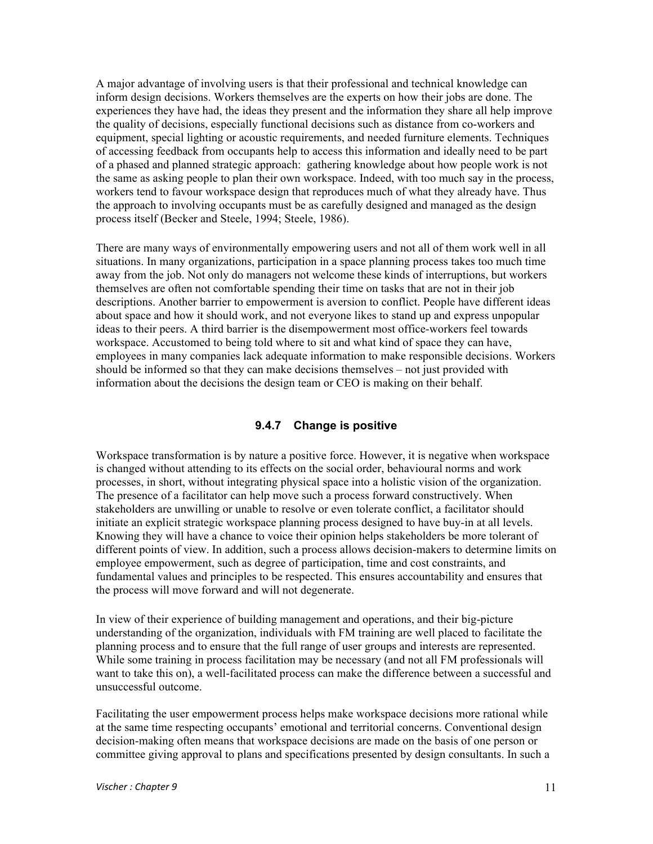A major advantage of involving users is that their professional and technical knowledge can inform design decisions. Workers themselves are the experts on how their jobs are done. The experiences they have had, the ideas they present and the information they share all help improve the quality of decisions, especially functional decisions such as distance from co-workers and equipment, special lighting or acoustic requirements, and needed furniture elements. Techniques of accessing feedback from occupants help to access this information and ideally need to be part of a phased and planned strategic approach: gathering knowledge about how people work is not the same as asking people to plan their own workspace. Indeed, with too much say in the process, workers tend to favour workspace design that reproduces much of what they already have. Thus the approach to involving occupants must be as carefully designed and managed as the design process itself (Becker and Steele, 1994; Steele, 1986).

There are many ways of environmentally empowering users and not all of them work well in all situations. In many organizations, participation in a space planning process takes too much time away from the job. Not only do managers not welcome these kinds of interruptions, but workers themselves are often not comfortable spending their time on tasks that are not in their job descriptions. Another barrier to empowerment is aversion to conflict. People have different ideas about space and how it should work, and not everyone likes to stand up and express unpopular ideas to their peers. A third barrier is the disempowerment most office-workers feel towards workspace. Accustomed to being told where to sit and what kind of space they can have, employees in many companies lack adequate information to make responsible decisions. Workers should be informed so that they can make decisions themselves – not just provided with information about the decisions the design team or CEO is making on their behalf.

### **9.4.7 Change is positive**

Workspace transformation is by nature a positive force. However, it is negative when workspace is changed without attending to its effects on the social order, behavioural norms and work processes, in short, without integrating physical space into a holistic vision of the organization. The presence of a facilitator can help move such a process forward constructively. When stakeholders are unwilling or unable to resolve or even tolerate conflict, a facilitator should initiate an explicit strategic workspace planning process designed to have buy-in at all levels. Knowing they will have a chance to voice their opinion helps stakeholders be more tolerant of different points of view. In addition, such a process allows decision-makers to determine limits on employee empowerment, such as degree of participation, time and cost constraints, and fundamental values and principles to be respected. This ensures accountability and ensures that the process will move forward and will not degenerate.

In view of their experience of building management and operations, and their big-picture understanding of the organization, individuals with FM training are well placed to facilitate the planning process and to ensure that the full range of user groups and interests are represented. While some training in process facilitation may be necessary (and not all FM professionals will want to take this on), a well-facilitated process can make the difference between a successful and unsuccessful outcome.

Facilitating the user empowerment process helps make workspace decisions more rational while at the same time respecting occupants' emotional and territorial concerns. Conventional design decision-making often means that workspace decisions are made on the basis of one person or committee giving approval to plans and specifications presented by design consultants. In such a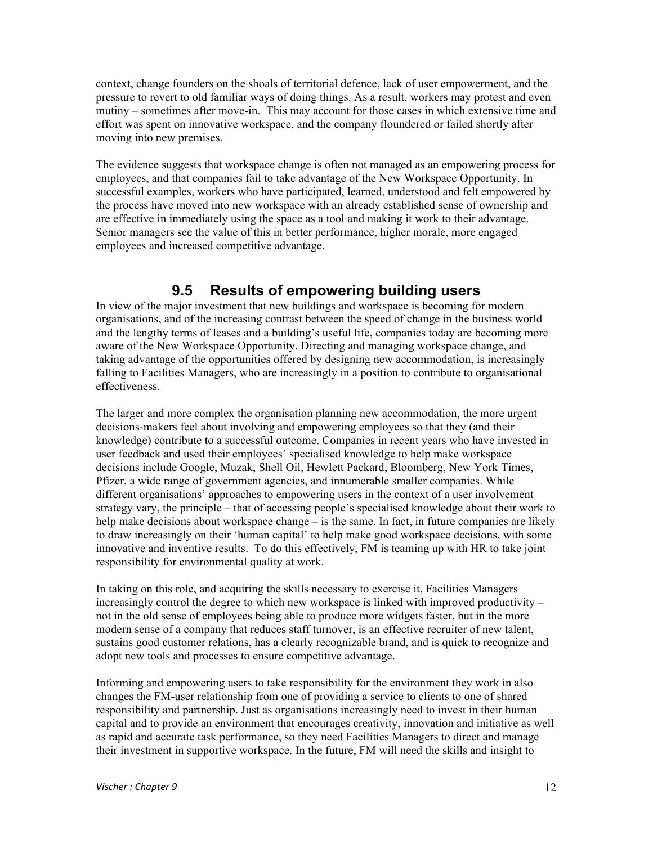context, change founders on the shoals of territorial defence, lack of user empowerment, and the pressure to revert to old familiar ways of doing things. As a result, workers may protest and even mutiny – sometimes after move-in. This may account for those cases in which extensive time and effort was spent on innovative workspace, and the company floundered or failed shortly after moving into new premises.

The evidence suggests that workspace change is often not managed as an empowering process for employees, and that companies fail to take advantage of the New Workspace Opportunity. In successful examples, workers who have participated, learned, understood and felt empowered by the process have moved into new workspace with an already established sense of ownership and are effective in immediately using the space as a tool and making it work to their advantage. Senior managers see the value of this in better performance, higher morale, more engaged employees and increased competitive advantage.

### **9.5 Results of empowering building users**

In view of the major investment that new buildings and workspace is becoming for modern organisations, and of the increasing contrast between the speed of change in the business world and the lengthy terms of leases and a building's useful life, companies today are becoming more aware of the New Workspace Opportunity. Directing and managing workspace change, and taking advantage of the opportunities offered by designing new accommodation, is increasingly falling to Facilities Managers, who are increasingly in a position to contribute to organisational effectiveness.

The larger and more complex the organisation planning new accommodation, the more urgent decisions-makers feel about involving and empowering employees so that they (and their knowledge) contribute to a successful outcome. Companies in recent years who have invested in user feedback and used their employees' specialised knowledge to help make workspace decisions include Google, Muzak, Shell Oil, Hewlett Packard, Bloomberg, New York Times, Pfizer, a wide range of government agencies, and innumerable smaller companies. While different organisations' approaches to empowering users in the context of a user involvement strategy vary, the principle – that of accessing people's specialised knowledge about their work to help make decisions about workspace change – is the same. In fact, in future companies are likely to draw increasingly on their 'human capital' to help make good workspace decisions, with some innovative and inventive results. To do this effectively, FM is teaming up with HR to take joint responsibility for environmental quality at work.

In taking on this role, and acquiring the skills necessary to exercise it, Facilities Managers increasingly control the degree to which new workspace is linked with improved productivity – not in the old sense of employees being able to produce more widgets faster, but in the more modern sense of a company that reduces staff turnover, is an effective recruiter of new talent, sustains good customer relations, has a clearly recognizable brand, and is quick to recognize and adopt new tools and processes to ensure competitive advantage.

Informing and empowering users to take responsibility for the environment they work in also changes the FM-user relationship from one of providing a service to clients to one of shared responsibility and partnership. Just as organisations increasingly need to invest in their human capital and to provide an environment that encourages creativity, innovation and initiative as well as rapid and accurate task performance, so they need Facilities Managers to direct and manage their investment in supportive workspace. In the future, FM will need the skills and insight to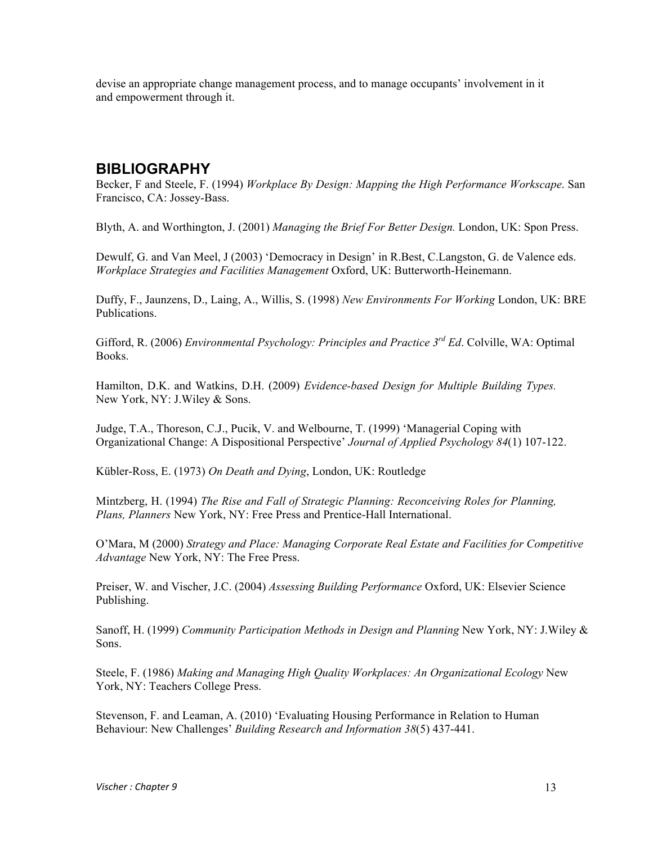devise an appropriate change management process, and to manage occupants' involvement in it and empowerment through it.

## **BIBLIOGRAPHY**

Becker, F and Steele, F. (1994) *Workplace By Design: Mapping the High Performance Workscape*. San Francisco, CA: Jossey-Bass.

Blyth, A. and Worthington, J. (2001) *Managing the Brief For Better Design.* London, UK: Spon Press.

Dewulf, G. and Van Meel, J (2003) 'Democracy in Design' in R.Best, C.Langston, G. de Valence eds. *Workplace Strategies and Facilities Management* Oxford, UK: Butterworth-Heinemann.

Duffy, F., Jaunzens, D., Laing, A., Willis, S. (1998) *New Environments For Working* London, UK: BRE Publications.

Gifford, R. (2006) *Environmental Psychology: Principles and Practice 3rd Ed*. Colville, WA: Optimal Books.

Hamilton, D.K. and Watkins, D.H. (2009) *Evidence-based Design for Multiple Building Types.* New York, NY: J.Wiley & Sons.

Judge, T.A., Thoreson, C.J., Pucik, V. and Welbourne, T. (1999) 'Managerial Coping with Organizational Change: A Dispositional Perspective' *Journal of Applied Psychology 84*(1) 107-122.

Kübler-Ross, E. (1973) *On Death and Dying*, London, UK: Routledge

Mintzberg, H. (1994) *The Rise and Fall of Strategic Planning: Reconceiving Roles for Planning, Plans, Planners* New York, NY: Free Press and Prentice-Hall International.

O'Mara, M (2000) *Strategy and Place: Managing Corporate Real Estate and Facilities for Competitive Advantage* New York, NY: The Free Press.

Preiser, W. and Vischer, J.C. (2004) *Assessing Building Performance* Oxford, UK: Elsevier Science Publishing.

Sanoff, H. (1999) *Community Participation Methods in Design and Planning* New York, NY: J.Wiley & Sons.

Steele, F. (1986) *Making and Managing High Quality Workplaces: An Organizational Ecology* New York, NY: Teachers College Press.

Stevenson, F. and Leaman, A. (2010) 'Evaluating Housing Performance in Relation to Human Behaviour: New Challenges' *Building Research and Information 38*(5) 437-441.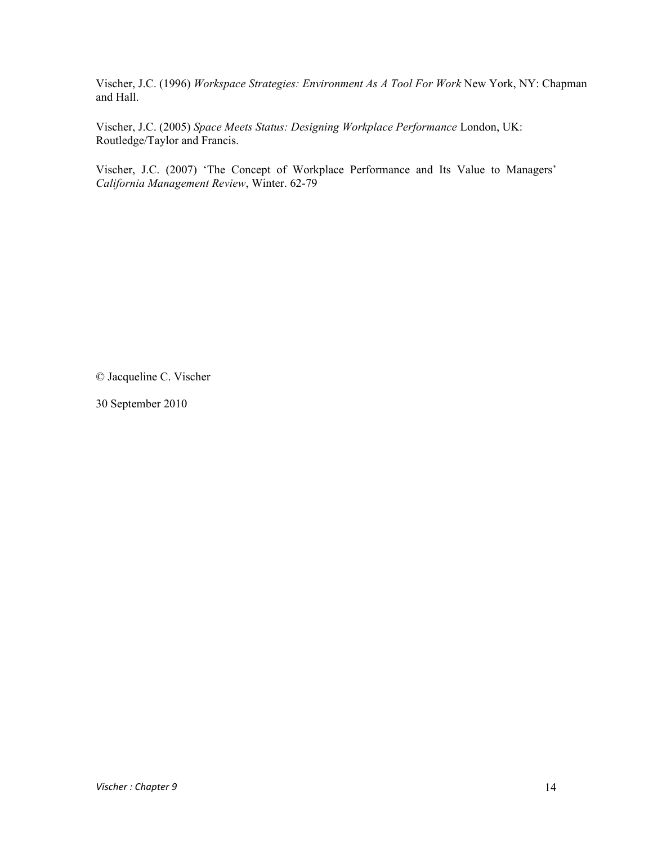Vischer, J.C. (1996) *Workspace Strategies: Environment As A Tool For Work* New York, NY: Chapman and Hall.

Vischer, J.C. (2005) *Space Meets Status: Designing Workplace Performance* London, UK: Routledge/Taylor and Francis.

Vischer, J.C. (2007) 'The Concept of Workplace Performance and Its Value to Managers' *California Management Review*, Winter. 62-79

© Jacqueline C. Vischer

30 September 2010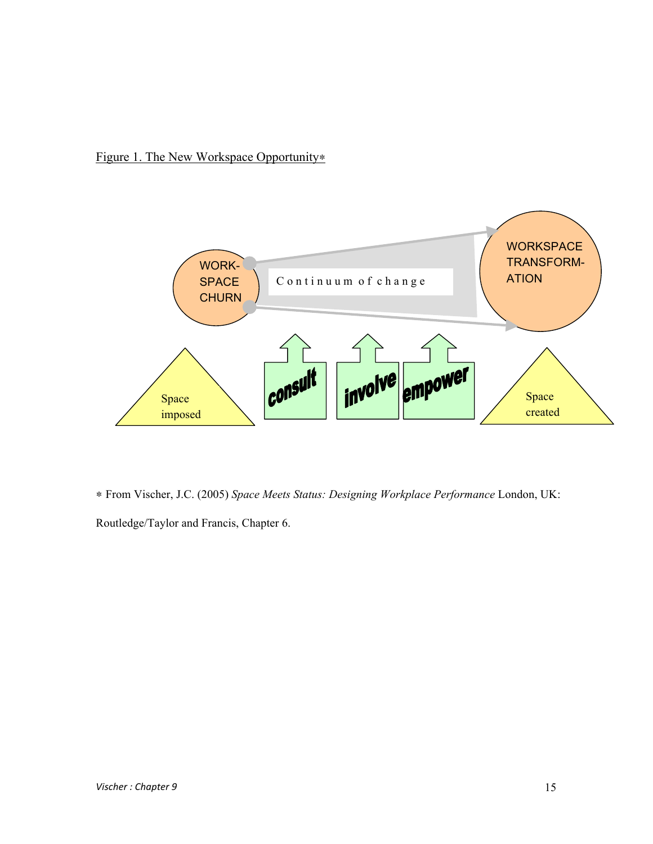



∗ From Vischer, J.C. (2005) *Space Meets Status: Designing Workplace Performance* London, UK:

Routledge/Taylor and Francis, Chapter 6.